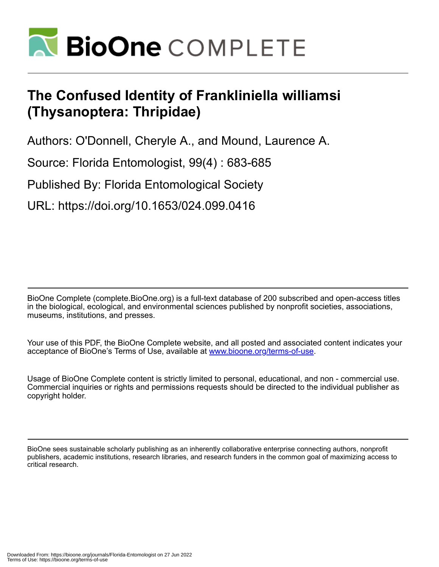

# **The Confused Identity of Frankliniella williamsi (Thysanoptera: Thripidae)**

Authors: O'Donnell, Cheryle A., and Mound, Laurence A.

Source: Florida Entomologist, 99(4) : 683-685

Published By: Florida Entomological Society

URL: https://doi.org/10.1653/024.099.0416

BioOne Complete (complete.BioOne.org) is a full-text database of 200 subscribed and open-access titles in the biological, ecological, and environmental sciences published by nonprofit societies, associations, museums, institutions, and presses.

Your use of this PDF, the BioOne Complete website, and all posted and associated content indicates your acceptance of BioOne's Terms of Use, available at www.bioone.org/terms-of-use.

Usage of BioOne Complete content is strictly limited to personal, educational, and non - commercial use. Commercial inquiries or rights and permissions requests should be directed to the individual publisher as copyright holder.

BioOne sees sustainable scholarly publishing as an inherently collaborative enterprise connecting authors, nonprofit publishers, academic institutions, research libraries, and research funders in the common goal of maximizing access to critical research.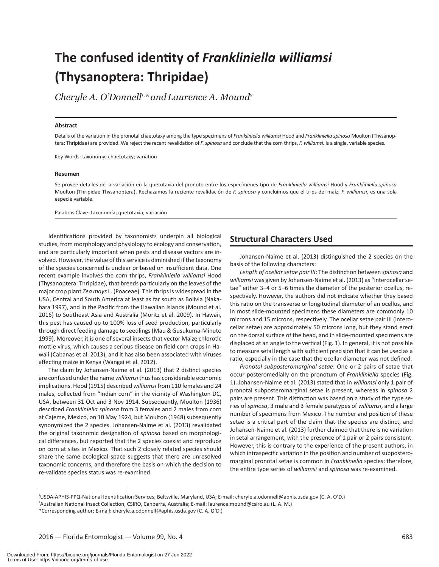# **The confused identity of** *Frankliniella williamsi* **(Thysanoptera: Thripidae)**

Cheryle A. O'Donnell<sup>1,\*</sup> and Laurence A. Mound<sup>2</sup>

#### **Abstract**

Details of the variation in the pronotal chaetotaxy among the type specimens of *Frankliniella williamsi* Hood and *Frankliniella spinosa* Moulton (Thysanoptera: Thripidae) are provided. We reject the recent revalidation of *F. spinosa* and conclude that the corn thrips, *F. williamsi,* is a single, variable species.

Key Words: taxonomy; chaetotaxy; variation

#### **Resumen**

Se provee detalles de la variación en la quetotaxia del pronoto entre los especímenes tipo de *Frankliniella williamsi* Hood y *Frankliniella spinosa*  Moulton (Thripidae Thysanoptera). Rechazamos la reciente revalidación de *F. spinosa* y concluimos que el trips del maíz, *F. williamsi*, es una sola especie variable.

Palabras Clave: taxonomía; quetotaxia; variación

Identifications provided by taxonomists underpin all biological studies, from morphology and physiology to ecology and conservation, and are particularly important when pests and disease vectors are involved. However, the value of this service is diminished if the taxonomy of the species concerned is unclear or based on insufficient data. One recent example involves the corn thrips, *Frankliniella williamsi* Hood (Thysanoptera: Thripidae), that breeds particularly on the leaves of the major crop plant *Zea mays* L. (Poaceae). This thrips is widespread in the USA, Central and South America at least as far south as Bolivia (Nakahara 1997), and in the Pacific from the Hawaiian Islands (Mound et al. 2016) to Southeast Asia and Australia (Moritz et al. 2009). In Hawaii, this pest has caused up to 100% loss of seed production, particularly through direct feeding damage to seedlings (Mau & Gusukuma-Minuto 1999). Moreover, it is one of several insects that vector Maize chlorotic mottle virus, which causes a serious disease on field corn crops in Hawaii (Cabanas et al. 2013), and it has also been associated with viruses affecting maize in Kenya (Wangai et al. 2012).

The claim by Johansen-Naime et al. (2013) that 2 distinct species are confused under the name *williamsi* thus has considerable economic implications. Hood (1915) described *williamsi* from 110 females and 24 males, collected from "Indian corn" in the vicinity of Washington DC, USA, between 31 Oct and 3 Nov 1914. Subsequently, Moulton (1936) described *Frankliniella spinosa* from 3 females and 2 males from corn at Cajeme, Mexico, on 10 May 1924, but Moulton (1948) subsequently synonymized the 2 species. Johansen-Naime et al. (2013) revalidated the original taxonomic designation of *spinosa* based on morphological differences, but reported that the 2 species coexist and reproduce on corn at sites in Mexico. That such 2 closely related species should share the same ecological space suggests that there are unresolved taxonomic concerns, and therefore the basis on which the decision to re-validate species status was re-examined.

#### **Structural Characters Used**

Johansen-Naime et al. (2013) distinguished the 2 species on the basis of the following characters:

*Length of ocellar setae pair III*: The distinction between *spinosa* and *williamsi* was given by Johansen-Naime et al. (2013) as "interocellar setae" either 3–4 or 5–6 times the diameter of the posterior ocellus, respectively. However, the authors did not indicate whether they based this ratio on the transverse or longitudinal diameter of an ocellus, and in most slide-mounted specimens these diameters are commonly 10 microns and 15 microns, respectively. The ocellar setae pair III (interocellar setae) are approximately 50 microns long, but they stand erect on the dorsal surface of the head, and in slide-mounted specimens are displaced at an angle to the vertical (Fig. 1). In general, it is not possible to measure setal length with sufficient precision that it can be used as a ratio, especially in the case that the ocellar diameter was not defined.

*Pronotal subposteromarginal setae*: One or 2 pairs of setae that occur posteromedially on the pronotum of *Frankliniella* species (Fig. 1). Johansen-Naime et al. (2013) stated that in *williamsi* only 1 pair of pronotal subposteromarginal setae is present, whereas in *spinosa* 2 pairs are present. This distinction was based on a study of the type series of *spinosa*, 3 male and 3 female paratypes of *williamsi*, and a large number of specimens from Mexico. The number and position of these setae is a critical part of the claim that the species are distinct, and Johansen-Naime et al. (2013) further claimed that there is no variation in setal arrangement, with the presence of 1 pair or 2 pairs consistent. However, this is contrary to the experience of the present authors, in which intraspecific variation in the position and number of subposteromarginal pronotal setae is common in *Frankliniella* species; therefore, the entire type series of *williamsi* and *spinosa* was re-examined.

<sup>1</sup> USDA-APHIS-PPQ-National Identification Services; Beltsville, Maryland, USA; E-mail: cheryle.a.odonnell@aphis.usda.gov (C. A. O'D.)

<sup>2</sup> Australian National Insect Collection, CSIRO, Canberra, Australia; E-mail: laurence.mound@csiro.au (L. A. M.)

<sup>\*</sup>Corresponding author; E-mail: cheryle.a.odonnell@aphis.usda.gov (C. A. O'D.)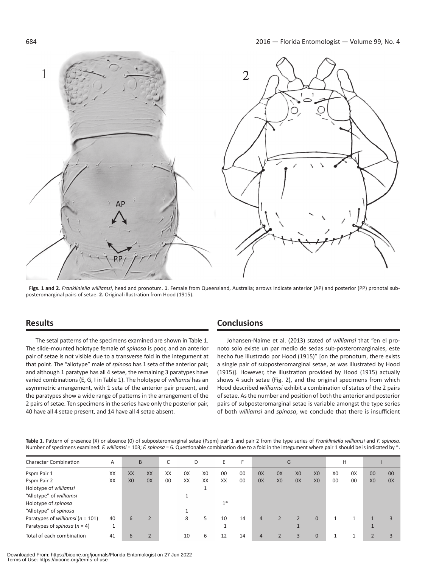

**Figs. 1 and 2**. *Frankliniella williamsi*, head and pronotum. **1**. Female from Queensland, Australia; arrows indicate anterior (AP) and posterior (PP) pronotal subposteromarginal pairs of setae. **2.** Original illustration from Hood (1915).

## **Results**

The setal patterns of the specimens examined are shown in Table 1. The slide-mounted holotype female of *spinosa* is poor, and an anterior pair of setae is not visible due to a transverse fold in the integument at that point. The "allotype" male of *spinosa* has 1 seta of the anterior pair, and although 1 paratype has all 4 setae, the remaining 3 paratypes have varied combinations (E, G, I in Table 1). The holotype of *williamsi* has an asymmetric arrangement, with 1 seta of the anterior pair present, and the paratypes show a wide range of patterns in the arrangement of the 2 pairs of setae. Ten specimens in the series have only the posterior pair, 40 have all 4 setae present, and 14 have all 4 setae absent.

## **Conclusions**

Johansen-Naime et al. (2013) stated of *williamsi* that "en el pronoto solo existe un par medio de sedas sub-posteromarginales, este hecho fue illustrado por Hood (1915)" [on the pronotum, there exists a single pair of subposteromarginal setae, as was illustrated by Hood (1915)]. However, the illustration provided by Hood (1915) actually shows 4 such setae (Fig. 2), and the original specimens from which Hood described *williamsi* exhibit a combination of states of the 2 pairs of setae. As the number and position of both the anterior and posterior pairs of subposteromarginal setae is variable amongst the type series of both *williamsi* and *spinosa*, we conclude that there is insufficient

**Table 1.** Pattern of presence (X) or absence (0) of subposteromarginal setae (Pspm) pair 1 and pair 2 from the type series of *Frankliniella williamsi* and *F. spinosa*. Number of specimens examined: *F. williamsi* = 103; *F. spinosa* = 6. Questionable combination due to a fold in the integument where pair 1 should be is indicated by \*.

| <b>Character Combination</b>          | Α  | B              |                          |    | D  |                | ь.   | F  | G  |                |                | н              |                |    |                |    |
|---------------------------------------|----|----------------|--------------------------|----|----|----------------|------|----|----|----------------|----------------|----------------|----------------|----|----------------|----|
| Pspm Pair 1                           | XX | XX             | XX                       | XX | 0X | X <sub>0</sub> | 00   | 00 | 0X | 0X             | X <sub>0</sub> | X <sub>0</sub> | X <sub>0</sub> | 0X | 00             | 00 |
| Pspm Pair 2                           | XX | X <sub>0</sub> | 0X                       | 00 | XX | XX             | XX   | 00 | 0X | X <sub>0</sub> | 0X             | X <sub>0</sub> | 00             | 00 | X <sub>0</sub> | 0X |
| Holotype of williamsi                 |    |                |                          |    |    |                |      |    |    |                |                |                |                |    |                |    |
| "Allotype" of williamsi               |    |                |                          |    |    |                |      |    |    |                |                |                |                |    |                |    |
| Holotype of spinosa                   |    |                |                          |    |    |                | $1*$ |    |    |                |                |                |                |    |                |    |
| "Allotype" of spinosa                 |    |                |                          |    |    |                |      |    |    |                |                |                |                |    |                |    |
| Paratypes of williamsi ( $n = 101$ )  | 40 | 6              | $\overline{\phantom{a}}$ |    | 8  | 5              | 10   | 14 | 4  |                |                | $\Omega$       |                |    |                |    |
| Paratypes of <i>spinosa</i> $(n = 4)$ |    |                |                          |    |    |                |      |    |    |                |                |                |                |    |                |    |
| Total of each combination             | 41 | h              |                          |    | 10 | 6              | 12   | 14 | 4  |                | $\mathbf{R}$   | $\Omega$       |                |    |                |    |